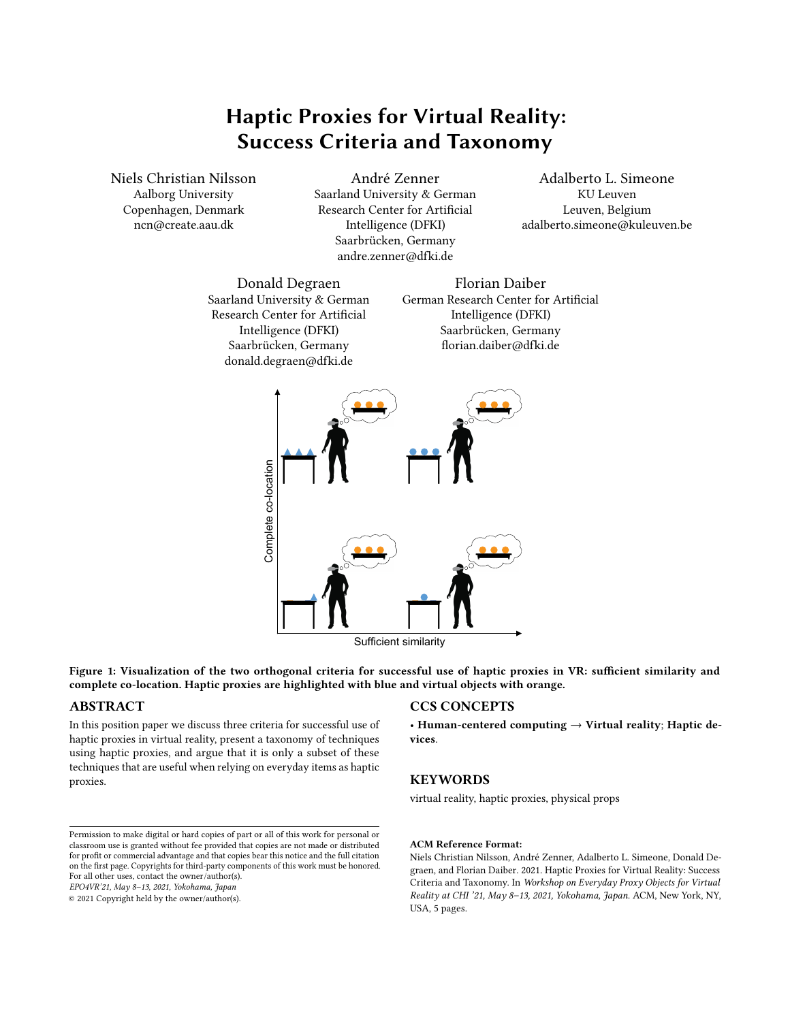# Haptic Proxies for Virtual Reality: Success Criteria and Taxonomy

Niels Christian Nilsson Aalborg University Copenhagen, Denmark ncn@create.aau.dk

André Zenner Saarland University & German Research Center for Artificial Intelligence (DFKI) Saarbrücken, Germany andre.zenner@dfki.de

Adalberto L. Simeone KU Leuven Leuven, Belgium adalberto.simeone@kuleuven.be

<span id="page-0-0"></span>Donald Degraen Saarland University & German Research Center for Artificial Intelligence (DFKI) Saarbrücken, Germany donald.degraen@dfki.de

Florian Daiber German Research Center for Artificial Intelligence (DFKI) Saarbrücken, Germany florian.daiber@dfki.de



Sufficient similarity

Figure 1: Visualization of the two orthogonal criteria for successful use of haptic proxies in VR: sufficient similarity and complete co-location. Haptic proxies are highlighted with blue and virtual objects with orange.

# ABSTRACT

In this position paper we discuss three criteria for successful use of haptic proxies in virtual reality, present a taxonomy of techniques using haptic proxies, and argue that it is only a subset of these techniques that are useful when relying on everyday items as haptic proxies.

# CCS CONCEPTS

• Human-centered computing  $\rightarrow$  Virtual reality; Haptic devices.

# **KEYWORDS**

virtual reality, haptic proxies, physical props

EPO4VR'21, May 8–13, 2021, Yokohama, Japan

© 2021 Copyright held by the owner/author(s).

#### ACM Reference Format:

Niels Christian Nilsson, André Zenner, Adalberto L. Simeone, Donald Degraen, and Florian Daiber. 2021. Haptic Proxies for Virtual Reality: Success Criteria and Taxonomy. In Workshop on Everyday Proxy Objects for Virtual Reality at CHI '21, May 8–13, 2021, Yokohama, Japan. ACM, New York, NY, USA, [5](#page-4-0) pages.

Permission to make digital or hard copies of part or all of this work for personal or classroom use is granted without fee provided that copies are not made or distributed for profit or commercial advantage and that copies bear this notice and the full citation on the first page. Copyrights for third-party components of this work must be honored. For all other uses, contact the owner/author(s).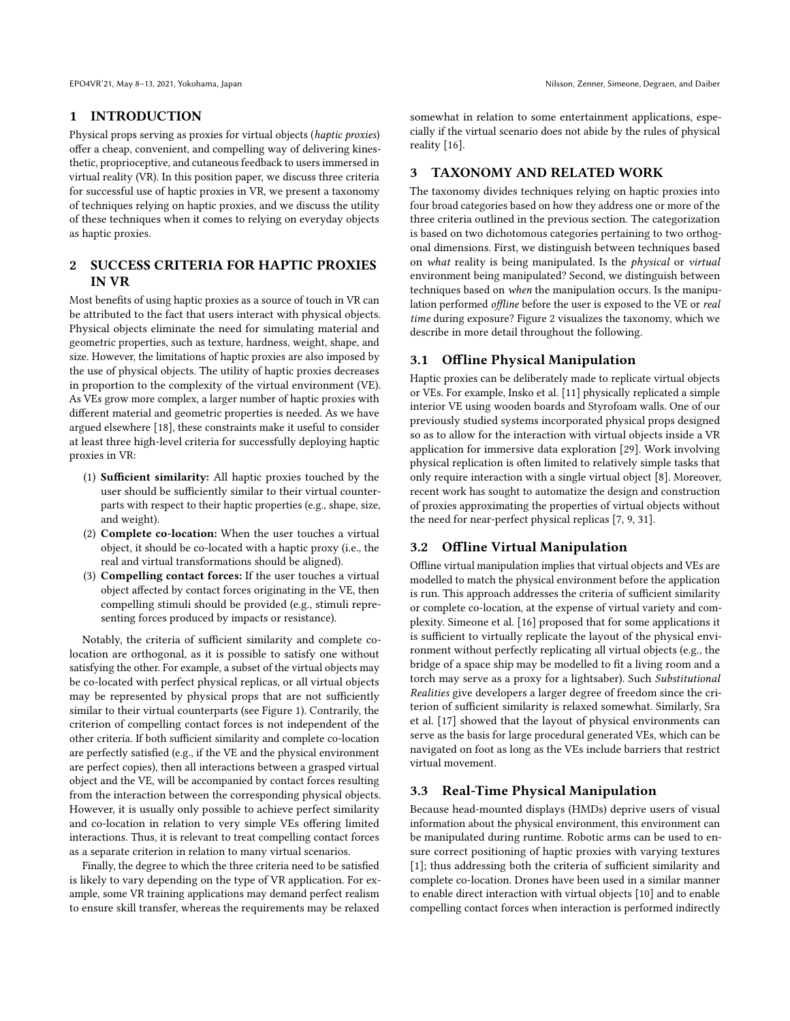# 1 INTRODUCTION

Physical props serving as proxies for virtual objects (haptic proxies) offer a cheap, convenient, and compelling way of delivering kinesthetic, proprioceptive, and cutaneous feedback to users immersed in virtual reality (VR). In this position paper, we discuss three criteria for successful use of haptic proxies in VR, we present a taxonomy of techniques relying on haptic proxies, and we discuss the utility of these techniques when it comes to relying on everyday objects as haptic proxies.

# 2 SUCCESS CRITERIA FOR HAPTIC PROXIES IN VR

Most benefits of using haptic proxies as a source of touch in VR can be attributed to the fact that users interact with physical objects. Physical objects eliminate the need for simulating material and geometric properties, such as texture, hardness, weight, shape, and size. However, the limitations of haptic proxies are also imposed by the use of physical objects. The utility of haptic proxies decreases in proportion to the complexity of the virtual environment (VE). As VEs grow more complex, a larger number of haptic proxies with different material and geometric properties is needed. As we have argued elsewhere [\[18\]](#page-3-0), these constraints make it useful to consider at least three high-level criteria for successfully deploying haptic proxies in VR:

- (1) Sufficient similarity: All haptic proxies touched by the user should be sufficiently similar to their virtual counterparts with respect to their haptic properties (e.g., shape, size, and weight).
- (2) Complete co-location: When the user touches a virtual object, it should be co-located with a haptic proxy (i.e., the real and virtual transformations should be aligned).
- (3) Compelling contact forces: If the user touches a virtual object affected by contact forces originating in the VE, then compelling stimuli should be provided (e.g., stimuli representing forces produced by impacts or resistance).

Notably, the criteria of sufficient similarity and complete colocation are orthogonal, as it is possible to satisfy one without satisfying the other. For example, a subset of the virtual objects may be co-located with perfect physical replicas, or all virtual objects may be represented by physical props that are not sufficiently similar to their virtual counterparts (see Figure [1\)](#page-0-0). Contrarily, the criterion of compelling contact forces is not independent of the other criteria. If both sufficient similarity and complete co-location are perfectly satisfied (e.g., if the VE and the physical environment are perfect copies), then all interactions between a grasped virtual object and the VE, will be accompanied by contact forces resulting from the interaction between the corresponding physical objects. However, it is usually only possible to achieve perfect similarity and co-location in relation to very simple VEs offering limited interactions. Thus, it is relevant to treat compelling contact forces as a separate criterion in relation to many virtual scenarios.

Finally, the degree to which the three criteria need to be satisfied is likely to vary depending on the type of VR application. For example, some VR training applications may demand perfect realism to ensure skill transfer, whereas the requirements may be relaxed

somewhat in relation to some entertainment applications, especially if the virtual scenario does not abide by the rules of physical reality [\[16\]](#page-3-1).

### 3 TAXONOMY AND RELATED WORK

The taxonomy divides techniques relying on haptic proxies into four broad categories based on how they address one or more of the three criteria outlined in the previous section. The categorization is based on two dichotomous categories pertaining to two orthogonal dimensions. First, we distinguish between techniques based on what reality is being manipulated. Is the physical or virtual environment being manipulated? Second, we distinguish between techniques based on when the manipulation occurs. Is the manipulation performed offline before the user is exposed to the VE or real time during exposure? Figure [2](#page-2-0) visualizes the taxonomy, which we describe in more detail throughout the following.

# 3.1 Offline Physical Manipulation

Haptic proxies can be deliberately made to replicate virtual objects or VEs. For example, Insko et al. [\[11\]](#page-3-2) physically replicated a simple interior VE using wooden boards and Styrofoam walls. One of our previously studied systems incorporated physical props designed so as to allow for the interaction with virtual objects inside a VR application for immersive data exploration [\[29\]](#page-4-1). Work involving physical replication is often limited to relatively simple tasks that only require interaction with a single virtual object [\[8\]](#page-3-3). Moreover, recent work has sought to automatize the design and construction of proxies approximating the properties of virtual objects without the need for near-perfect physical replicas [\[7,](#page-3-4) [9,](#page-3-5) [31\]](#page-4-2).

#### 3.2 Offline Virtual Manipulation

Offline virtual manipulation implies that virtual objects and VEs are modelled to match the physical environment before the application is run. This approach addresses the criteria of sufficient similarity or complete co-location, at the expense of virtual variety and complexity. Simeone et al. [\[16\]](#page-3-1) proposed that for some applications it is sufficient to virtually replicate the layout of the physical environment without perfectly replicating all virtual objects (e.g., the bridge of a space ship may be modelled to fit a living room and a torch may serve as a proxy for a lightsaber). Such Substitutional Realities give developers a larger degree of freedom since the criterion of sufficient similarity is relaxed somewhat. Similarly, Sra et al. [\[17\]](#page-3-6) showed that the layout of physical environments can serve as the basis for large procedural generated VEs, which can be navigated on foot as long as the VEs include barriers that restrict virtual movement.

### 3.3 Real-Time Physical Manipulation

Because head-mounted displays (HMDs) deprive users of visual information about the physical environment, this environment can be manipulated during runtime. Robotic arms can be used to ensure correct positioning of haptic proxies with varying textures [\[1\]](#page-3-7); thus addressing both the criteria of sufficient similarity and complete co-location. Drones have been used in a similar manner to enable direct interaction with virtual objects [\[10\]](#page-3-8) and to enable compelling contact forces when interaction is performed indirectly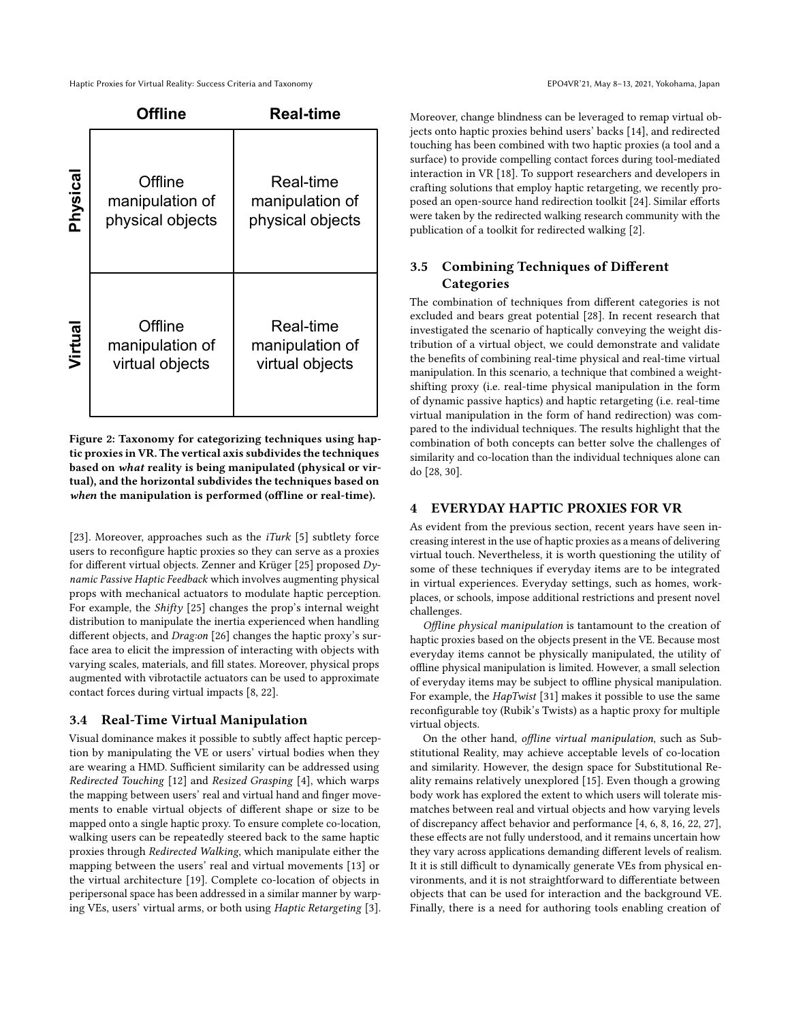#### Haptic Proxies for Virtual Reality: Success Criteria and Taxonomy extending the state of the state of the Sepan EPO4VR'21, May 8-13, 2021, Yokohama, Japan

<span id="page-2-0"></span>

|          | <b>Offline</b>                                 | <b>Real-time</b>                                 |
|----------|------------------------------------------------|--------------------------------------------------|
| Physical | Offline<br>manipulation of<br>physical objects | Real-time<br>manipulation of<br>physical objects |
| Virtual  | Offline<br>manipulation of<br>virtual objects  | Real-time<br>manipulation of<br>virtual objects  |

Figure 2: Taxonomy for categorizing techniques using haptic proxies in VR. The vertical axis subdivides the techniques based on what reality is being manipulated (physical or virtual), and the horizontal subdivides the techniques based on when the manipulation is performed (offline or real-time).

[\[23\]](#page-3-9). Moreover, approaches such as the *iTurk* [\[5\]](#page-3-10) subtlety force users to reconfigure haptic proxies so they can serve as a proxies for different virtual objects. Zenner and Krüger [\[25\]](#page-4-3) proposed Dynamic Passive Haptic Feedback which involves augmenting physical props with mechanical actuators to modulate haptic perception. For example, the Shifty [\[25\]](#page-4-3) changes the prop's internal weight distribution to manipulate the inertia experienced when handling different objects, and Drag:on [\[26\]](#page-4-4) changes the haptic proxy's surface area to elicit the impression of interacting with objects with varying scales, materials, and fill states. Moreover, physical props augmented with vibrotactile actuators can be used to approximate contact forces during virtual impacts [\[8,](#page-3-3) [22\]](#page-3-11).

#### 3.4 Real-Time Virtual Manipulation

Visual dominance makes it possible to subtly affect haptic perception by manipulating the VE or users' virtual bodies when they are wearing a HMD. Sufficient similarity can be addressed using Redirected Touching [\[12\]](#page-3-12) and Resized Grasping [\[4\]](#page-3-13), which warps the mapping between users' real and virtual hand and finger movements to enable virtual objects of different shape or size to be mapped onto a single haptic proxy. To ensure complete co-location, walking users can be repeatedly steered back to the same haptic proxies through Redirected Walking, which manipulate either the mapping between the users' real and virtual movements [\[13\]](#page-3-14) or the virtual architecture [\[19\]](#page-3-15). Complete co-location of objects in peripersonal space has been addressed in a similar manner by warping VEs, users' virtual arms, or both using Haptic Retargeting [\[3\]](#page-3-16).

Moreover, change blindness can be leveraged to remap virtual objects onto haptic proxies behind users' backs [\[14\]](#page-3-17), and redirected touching has been combined with two haptic proxies (a tool and a surface) to provide compelling contact forces during tool-mediated interaction in VR [\[18\]](#page-3-0). To support researchers and developers in crafting solutions that employ haptic retargeting, we recently proposed an open-source hand redirection toolkit [\[24\]](#page-3-18). Similar efforts were taken by the redirected walking research community with the publication of a toolkit for redirected walking [\[2\]](#page-3-19).

# 3.5 Combining Techniques of Different **Categories**

The combination of techniques from different categories is not excluded and bears great potential [\[28\]](#page-4-5). In recent research that investigated the scenario of haptically conveying the weight distribution of a virtual object, we could demonstrate and validate the benefits of combining real-time physical and real-time virtual manipulation. In this scenario, a technique that combined a weightshifting proxy (i.e. real-time physical manipulation in the form of dynamic passive haptics) and haptic retargeting (i.e. real-time virtual manipulation in the form of hand redirection) was compared to the individual techniques. The results highlight that the combination of both concepts can better solve the challenges of similarity and co-location than the individual techniques alone can do [\[28,](#page-4-5) [30\]](#page-4-6).

#### 4 EVERYDAY HAPTIC PROXIES FOR VR

As evident from the previous section, recent years have seen increasing interest in the use of haptic proxies as a means of delivering virtual touch. Nevertheless, it is worth questioning the utility of some of these techniques if everyday items are to be integrated in virtual experiences. Everyday settings, such as homes, workplaces, or schools, impose additional restrictions and present novel challenges.

Offline physical manipulation is tantamount to the creation of haptic proxies based on the objects present in the VE. Because most everyday items cannot be physically manipulated, the utility of offline physical manipulation is limited. However, a small selection of everyday items may be subject to offline physical manipulation. For example, the HapTwist [\[31\]](#page-4-2) makes it possible to use the same reconfigurable toy (Rubik's Twists) as a haptic proxy for multiple virtual objects.

On the other hand, offline virtual manipulation, such as Substitutional Reality, may achieve acceptable levels of co-location and similarity. However, the design space for Substitutional Reality remains relatively unexplored [\[15\]](#page-3-20). Even though a growing body work has explored the extent to which users will tolerate mismatches between real and virtual objects and how varying levels of discrepancy affect behavior and performance [\[4,](#page-3-13) [6,](#page-3-21) [8,](#page-3-3) [16,](#page-3-1) [22,](#page-3-11) [27\]](#page-4-7), these effects are not fully understood, and it remains uncertain how they vary across applications demanding different levels of realism. It it is still difficult to dynamically generate VEs from physical environments, and it is not straightforward to differentiate between objects that can be used for interaction and the background VE. Finally, there is a need for authoring tools enabling creation of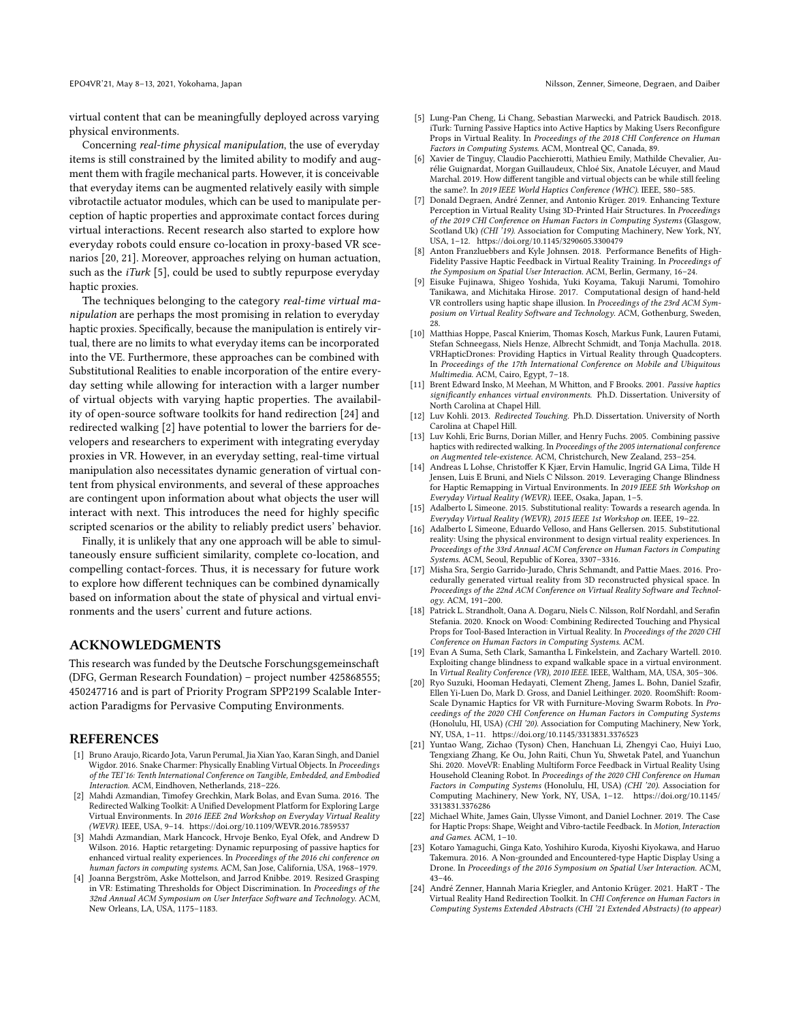virtual content that can be meaningfully deployed across varying physical environments.

Concerning real-time physical manipulation, the use of everyday items is still constrained by the limited ability to modify and augment them with fragile mechanical parts. However, it is conceivable that everyday items can be augmented relatively easily with simple vibrotactile actuator modules, which can be used to manipulate perception of haptic properties and approximate contact forces during virtual interactions. Recent research also started to explore how everyday robots could ensure co-location in proxy-based VR scenarios [\[20,](#page-3-22) [21\]](#page-3-23). Moreover, approaches relying on human actuation, such as the  $iTurk$  [\[5\]](#page-3-10), could be used to subtly repurpose everyday haptic proxies.

The techniques belonging to the category real-time virtual manipulation are perhaps the most promising in relation to everyday haptic proxies. Specifically, because the manipulation is entirely virtual, there are no limits to what everyday items can be incorporated into the VE. Furthermore, these approaches can be combined with Substitutional Realities to enable incorporation of the entire everyday setting while allowing for interaction with a larger number of virtual objects with varying haptic properties. The availability of open-source software toolkits for hand redirection [\[24\]](#page-3-18) and redirected walking [\[2\]](#page-3-19) have potential to lower the barriers for developers and researchers to experiment with integrating everyday proxies in VR. However, in an everyday setting, real-time virtual manipulation also necessitates dynamic generation of virtual content from physical environments, and several of these approaches are contingent upon information about what objects the user will interact with next. This introduces the need for highly specific scripted scenarios or the ability to reliably predict users' behavior.

Finally, it is unlikely that any one approach will be able to simultaneously ensure sufficient similarity, complete co-location, and compelling contact-forces. Thus, it is necessary for future work to explore how different techniques can be combined dynamically based on information about the state of physical and virtual environments and the users' current and future actions.

# ACKNOWLEDGMENTS

This research was funded by the Deutsche Forschungsgemeinschaft (DFG, German Research Foundation) – project number 425868555; 450247716 and is part of Priority Program SPP2199 Scalable Interaction Paradigms for Pervasive Computing Environments.

#### **REFERENCES**

- <span id="page-3-7"></span>[1] Bruno Araujo, Ricardo Jota, Varun Perumal, Jia Xian Yao, Karan Singh, and Daniel Wigdor. 2016. Snake Charmer: Physically Enabling Virtual Objects. In Proceedings of the TEI'16: Tenth International Conference on Tangible, Embedded, and Embodied Interaction. ACM, Eindhoven, Netherlands, 218–226.
- <span id="page-3-19"></span>[2] Mahdi Azmandian, Timofey Grechkin, Mark Bolas, and Evan Suma. 2016. The Redirected Walking Toolkit: A Unified Development Platform for Exploring Large Virtual Environments. In 2016 IEEE 2nd Workshop on Everyday Virtual Reality (WEVR). IEEE, USA, 9–14.<https://doi.org/10.1109/WEVR.2016.7859537>
- <span id="page-3-16"></span>[3] Mahdi Azmandian, Mark Hancock, Hrvoje Benko, Eyal Ofek, and Andrew D Wilson. 2016. Haptic retargeting: Dynamic repurposing of passive haptics for enhanced virtual reality experiences. In Proceedings of the 2016 chi conference on human factors in computing systems. ACM, San Jose, California, USA, 1968–1979.
- <span id="page-3-13"></span>[4] Joanna Bergström, Aske Mottelson, and Jarrod Knibbe. 2019. Resized Grasping in VR: Estimating Thresholds for Object Discrimination. In Proceedings of the 32nd Annual ACM Symposium on User Interface Software and Technology. ACM, New Orleans, LA, USA, 1175–1183.
- <span id="page-3-10"></span>[5] Lung-Pan Cheng, Li Chang, Sebastian Marwecki, and Patrick Baudisch. 2018. iTurk: Turning Passive Haptics into Active Haptics by Making Users Reconfigure Props in Virtual Reality. In Proceedings of the 2018 CHI Conference on Human Factors in Computing Systems. ACM, Montreal QC, Canada, 89.
- <span id="page-3-21"></span>[6] Xavier de Tinguy, Claudio Pacchierotti, Mathieu Emily, Mathilde Chevalier, Aurélie Guignardat, Morgan Guillaudeux, Chloé Six, Anatole Lécuyer, and Maud Marchal. 2019. How different tangible and virtual objects can be while still feeling the same?. In 2019 IEEE World Haptics Conference (WHC). IEEE, 580–585.
- <span id="page-3-4"></span>[7] Donald Degraen, André Zenner, and Antonio Krüger. 2019. Enhancing Texture Perception in Virtual Reality Using 3D-Printed Hair Structures. In Proceedings of the 2019 CHI Conference on Human Factors in Computing Systems (Glasgow, Scotland Uk) (CHI '19). Association for Computing Machinery, New York, NY, USA, 1–12.<https://doi.org/10.1145/3290605.3300479>
- <span id="page-3-3"></span>[8] Anton Franzluebbers and Kyle Johnsen. 2018. Performance Benefits of High-Fidelity Passive Haptic Feedback in Virtual Reality Training. In Proceedings of the Symposium on Spatial User Interaction. ACM, Berlin, Germany, 16–24.
- <span id="page-3-5"></span>Eisuke Fujinawa, Shigeo Yoshida, Yuki Koyama, Takuji Narumi, Tomohiro Tanikawa, and Michitaka Hirose. 2017. Computational design of hand-held VR controllers using haptic shape illusion. In Proceedings of the 23rd ACM Symposium on Virtual Reality Software and Technology. ACM, Gothenburg, Sweden, 28.
- <span id="page-3-8"></span>[10] Matthias Hoppe, Pascal Knierim, Thomas Kosch, Markus Funk, Lauren Futami, Stefan Schneegass, Niels Henze, Albrecht Schmidt, and Tonja Machulla. 2018. VRHapticDrones: Providing Haptics in Virtual Reality through Quadcopters. In Proceedings of the 17th International Conference on Mobile and Ubiquitous Multimedia. ACM, Cairo, Egypt, 7–18.
- <span id="page-3-2"></span>[11] Brent Edward Insko, M Meehan, M Whitton, and F Brooks. 2001. Passive haptics significantly enhances virtual environments. Ph.D. Dissertation. University of North Carolina at Chapel Hill.
- <span id="page-3-12"></span>[12] Luv Kohli. 2013. Redirected Touching. Ph.D. Dissertation. University of North Carolina at Chapel Hill.
- <span id="page-3-14"></span>[13] Luv Kohli, Eric Burns, Dorian Miller, and Henry Fuchs. 2005. Combining passive haptics with redirected walking. In Proceedings of the 2005 international conference on Augmented tele-existence. ACM, Christchurch, New Zealand, 253–254.
- <span id="page-3-17"></span>[14] Andreas L Lohse, Christoffer K Kjær, Ervin Hamulic, Ingrid GA Lima, Tilde H Jensen, Luis E Bruni, and Niels C Nilsson. 2019. Leveraging Change Blindness for Haptic Remapping in Virtual Environments. In 2019 IEEE 5th Workshop on Everyday Virtual Reality (WEVR). IEEE, Osaka, Japan, 1–5.
- <span id="page-3-20"></span>[15] Adalberto L Simeone. 2015. Substitutional reality: Towards a research agenda. In Everyday Virtual Reality (WEVR), 2015 IEEE 1st Workshop on. IEEE, 19–22.
- <span id="page-3-1"></span>[16] Adalberto L Simeone, Eduardo Velloso, and Hans Gellersen. 2015. Substitutional reality: Using the physical environment to design virtual reality experiences. In Proceedings of the 33rd Annual ACM Conference on Human Factors in Computing Systems. ACM, Seoul, Republic of Korea, 3307–3316.
- <span id="page-3-6"></span>[17] Misha Sra, Sergio Garrido-Jurado, Chris Schmandt, and Pattie Maes. 2016. Procedurally generated virtual reality from 3D reconstructed physical space. In Proceedings of the 22nd ACM Conference on Virtual Reality Software and Technology. ACM, 191–200.
- <span id="page-3-0"></span>[18] Patrick L. Strandholt, Oana A. Dogaru, Niels C. Nilsson, Rolf Nordahl, and Serafin Stefania. 2020. Knock on Wood: Combining Redirected Touching and Physical Props for Tool-Based Interaction in Virtual Reality. In Proceedings of the 2020 CHI Conference on Human Factors in Computing Systems. ACM.
- <span id="page-3-15"></span>[19] Evan A Suma, Seth Clark, Samantha L Finkelstein, and Zachary Wartell. 2010. Exploiting change blindness to expand walkable space in a virtual environment. In Virtual Reality Conference (VR), 2010 IEEE. IEEE, Waltham, MA, USA, 305–306.
- <span id="page-3-22"></span>[20] Ryo Suzuki, Hooman Hedayati, Clement Zheng, James L. Bohn, Daniel Szafir, Ellen Yi-Luen Do, Mark D. Gross, and Daniel Leithinger. 2020. RoomShift: Room-Scale Dynamic Haptics for VR with Furniture-Moving Swarm Robots. In Proceedings of the 2020 CHI Conference on Human Factors in Computing Systems (Honolulu, HI, USA) (CHI '20). Association for Computing Machinery, New York, NY, USA, 1–11.<https://doi.org/10.1145/3313831.3376523>
- <span id="page-3-23"></span>[21] Yuntao Wang, Zichao (Tyson) Chen, Hanchuan Li, Zhengyi Cao, Huiyi Luo, Tengxiang Zhang, Ke Ou, John Raiti, Chun Yu, Shwetak Patel, and Yuanchun Shi. 2020. MoveVR: Enabling Multiform Force Feedback in Virtual Reality Using Household Cleaning Robot. In Proceedings of the 2020 CHI Conference on Human Factors in Computing Systems (Honolulu, HI, USA) (CHI '20). Association for Computing Machinery, New York, NY, USA, 1–12. [https://doi.org/10.1145/](https://doi.org/10.1145/3313831.3376286) [3313831.3376286](https://doi.org/10.1145/3313831.3376286)
- <span id="page-3-11"></span>[22] Michael White, James Gain, Ulysse Vimont, and Daniel Lochner. 2019. The Case for Haptic Props: Shape, Weight and Vibro-tactile Feedback. In Motion, Interaction and Games. ACM, 1–10.
- <span id="page-3-9"></span>[23] Kotaro Yamaguchi, Ginga Kato, Yoshihiro Kuroda, Kiyoshi Kiyokawa, and Haruo Takemura. 2016. A Non-grounded and Encountered-type Haptic Display Using a Drone. In Proceedings of the 2016 Symposium on Spatial User Interaction. ACM, 43–46.
- <span id="page-3-18"></span>[24] André Zenner, Hannah Maria Kriegler, and Antonio Krüger. 2021. HaRT - The Virtual Reality Hand Redirection Toolkit. In CHI Conference on Human Factors in Computing Systems Extended Abstracts (CHI '21 Extended Abstracts) (to appear)